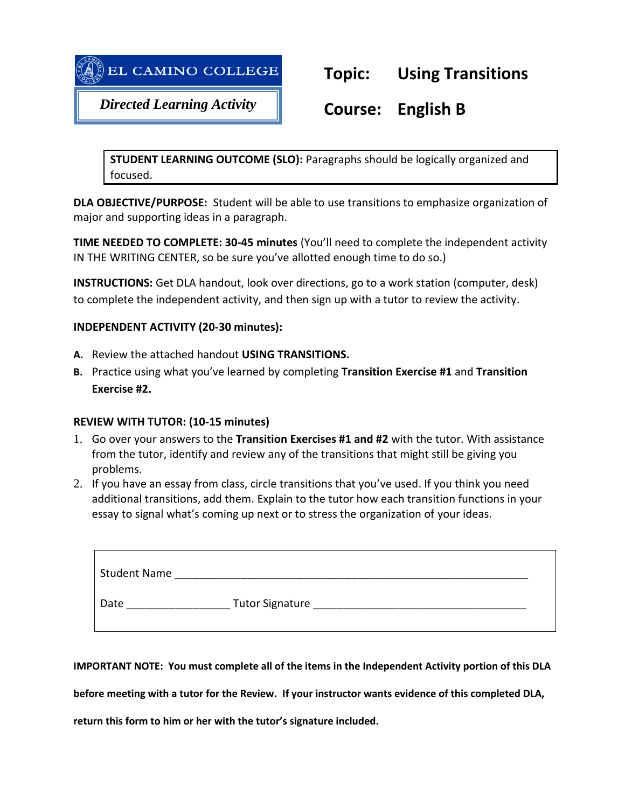



*Directed Learning Activity*

# **Course: English B**

**STUDENT LEARNING OUTCOME (SLO):** Paragraphs should be logically organized and focused.

**DLA OBJECTIVE/PURPOSE:** Student will be able to use transitions to emphasize organization of major and supporting ideas in a paragraph.

**TIME NEEDED TO COMPLETE: 30-45 minutes** (You'll need to complete the independent activity IN THE WRITING CENTER, so be sure you've allotted enough time to do so.)

**INSTRUCTIONS:** Get DLA handout, look over directions, go to a work station (computer, desk) to complete the independent activity, and then sign up with a tutor to review the activity.

# **INDEPENDENT ACTIVITY (20-30 minutes):**

- **A.** Review the attached handout **USING TRANSITIONS.**
- **B.** Practice using what you've learned by completing **Transition Exercise #1** and **Transition Exercise #2.**

## **REVIEW WITH TUTOR: (10-15 minutes)**

- 1. Go over your answers to the **Transition Exercises #1 and #2** with the tutor. With assistance from the tutor, identify and review any of the transitions that might still be giving you problems.
- 2. If you have an essay from class, circle transitions that you've used. If you think you need additional transitions, add them. Explain to the tutor how each transition functions in your essay to signal what's coming up next or to stress the organization of your ideas.

| <b>Student Name</b> |                        |
|---------------------|------------------------|
| Date                | <b>Tutor Signature</b> |

**IMPORTANT NOTE: You must complete all of the items in the Independent Activity portion of this DLA** 

**before meeting with a tutor for the Review. If your instructor wants evidence of this completed DLA,** 

**return this form to him or her with the tutor's signature included.**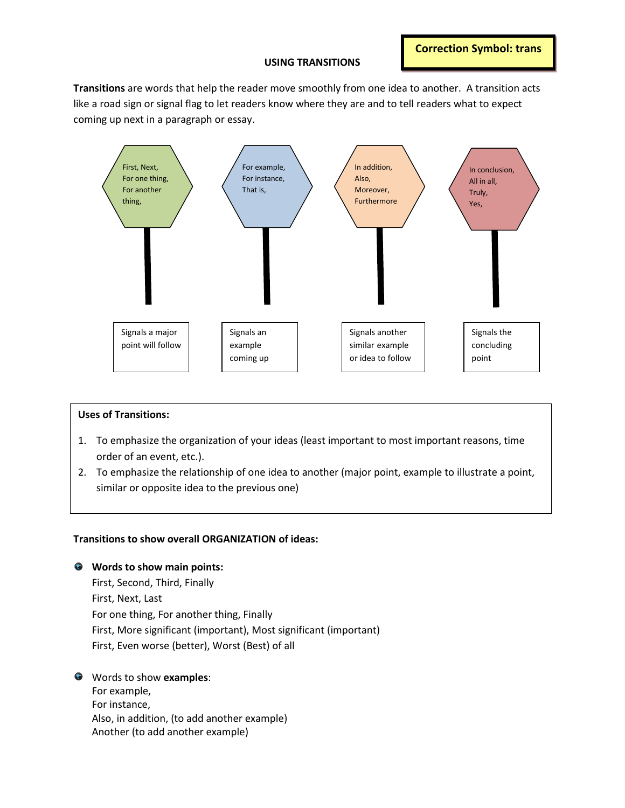#### **USING TRANSITIONS**

**Correction Symbol: trans**

**Transitions** are words that help the reader move smoothly from one idea to another. A transition acts like a road sign or signal flag to let readers know where they are and to tell readers what to expect coming up next in a paragraph or essay.



### Uses of Transitions: **Uses of Transitions:**

- 1. To emphasize the organization of your ideas (least important to most important reasons, time order of an event, etc.).
- To emphasize the relationship of one idea to another (major point, example to illustrate a point, 2. To emphasize the relationship of one idea to another (major point, example to illustrate a point, similar or opposite idea to the previous one) similar or opposite idea to the previous one)

#### **Transitions to show overall ORGANIZATION of ideas:**

**Words to show main points:**

First, Second, Third, Finally First, Next, Last For one thing, For another thing, Finally First, More significant (important), Most significant (important) First, Even worse (better), Worst (Best) of all

Words to show **examples**:

For example, For instance, Also, in addition, (to add another example) Another (to add another example)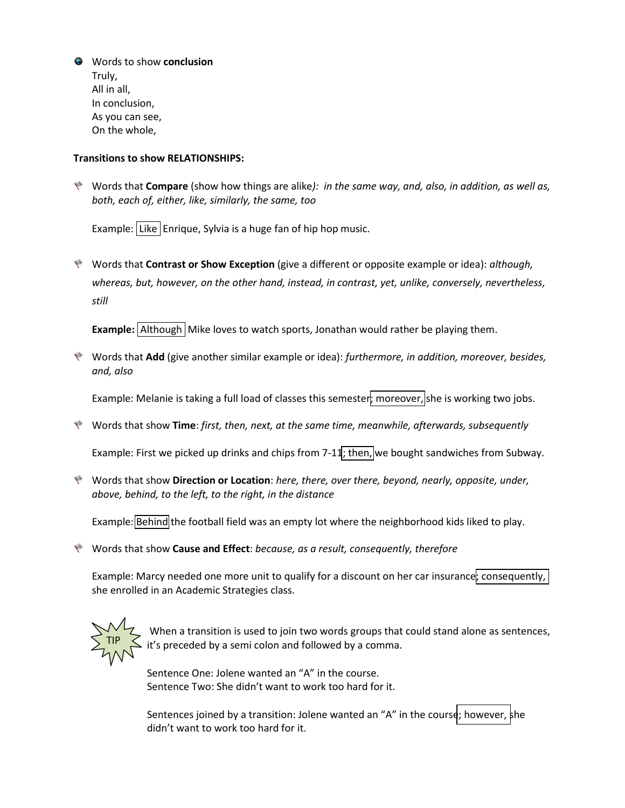Words to show **conclusion** Truly, All in all, In conclusion, As you can see, On the whole,

#### **Transitions to show RELATIONSHIPS:**

Words that **Compare** (show how things are alike*): in the same way, and, also, in addition, as well as, both, each of, either, like, similarly, the same, too*

Example: Like Enrique, Sylvia is a huge fan of hip hop music.

Words that **Contrast or Show Exception** (give a different or opposite example or idea): *although, whereas, but, however, on the other hand, instead, in contrast, yet, unlike, conversely, nevertheless, still*

**Example:** Although Mike loves to watch sports, Jonathan would rather be playing them.

Words that **Add** (give another similar example or idea): *furthermore, in addition, moreover, besides, and, also*

Example: Melanie is taking a full load of classes this semester; moreover, she is working two jobs.

Words that show **Time**: *first, then, next, at the same time, meanwhile, afterwards, subsequently*

Example: First we picked up drinks and chips from 7-11; then, we bought sandwiches from Subway.

Words that show **Direction or Location**: *here, there, over there, beyond, nearly, opposite, under, above, behind, to the left, to the right, in the distance*

Example: **Behind** the football field was an empty lot where the neighborhood kids liked to play.

Words that show **Cause and Effect**: *because, as a result, consequently, therefore*

Example: Marcy needed one more unit to qualify for a discount on her car insurance; consequently, she enrolled in an Academic Strategies class.



When a transition is used to join two words groups that could stand alone as sentences, it's preceded by a semi colon and followed by a comma.

Sentence One: Jolene wanted an "A" in the course. Sentence Two: She didn't want to work too hard for it.

Sentences joined by a transition: Jolene wanted an "A" in the course; however, she didn't want to work too hard for it.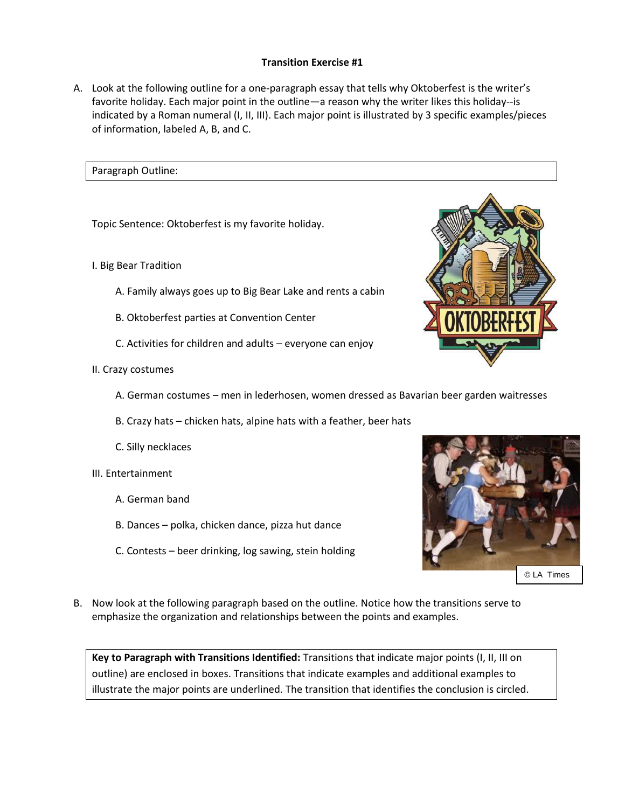#### **Transition Exercise #1**

A. Look at the following outline for a one-paragraph essay that tells why Oktoberfest is the writer's favorite holiday. Each major point in the outline—a reason why the writer likes this holiday--is indicated by a Roman numeral (I, II, III). Each major point is illustrated by 3 specific examples/pieces of information, labeled A, B, and C.

#### Paragraph Outline:

Topic Sentence: Oktoberfest is my favorite holiday.

- I. Big Bear Tradition
	- A. Family always goes up to Big Bear Lake and rents a cabin
	- B. Oktoberfest parties at Convention Center
	- C. Activities for children and adults everyone can enjoy
- II. Crazy costumes
	- A. German costumes men in lederhosen, women dressed as Bavarian beer garden waitresses
	- B. Crazy hats chicken hats, alpine hats with a feather, beer hats
	- C. Silly necklaces
- III. Entertainment
	- A. German band
	- B. Dances polka, chicken dance, pizza hut dance
	- C. Contests beer drinking, log sawing, stein holding



© LA Times

B. Now look at the following paragraph based on the outline. Notice how the transitions serve to emphasize the organization and relationships between the points and examples.

**Key to Paragraph with Transitions Identified:** Transitions that indicate major points (I, II, III on outline) are enclosed in boxes. Transitions that indicate examples and additional examples to illustrate the major points are underlined. The transition that identifies the conclusion is circled.

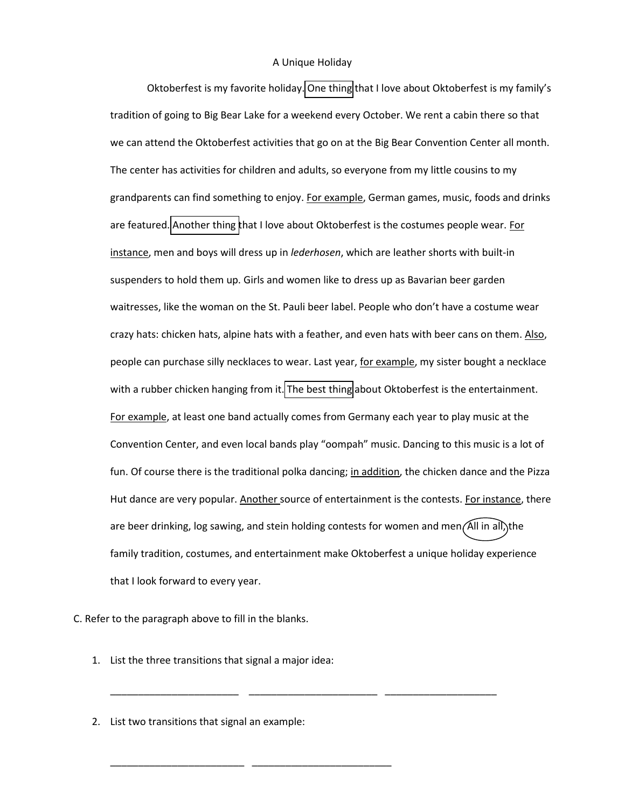#### A Unique Holiday

Oktoberfest is my favorite holiday. One thing that I love about Oktoberfest is my family's tradition of going to Big Bear Lake for a weekend every October. We rent a cabin there so that we can attend the Oktoberfest activities that go on at the Big Bear Convention Center all month. The center has activities for children and adults, so everyone from my little cousins to my grandparents can find something to enjoy. For example, German games, music, foods and drinks are featured. Another thing that I love about Oktoberfest is the costumes people wear. For instance, men and boys will dress up in *lederhosen*, which are leather shorts with built-in suspenders to hold them up. Girls and women like to dress up as Bavarian beer garden waitresses, like the woman on the St. Pauli beer label. People who don't have a costume wear crazy hats: chicken hats, alpine hats with a feather, and even hats with beer cans on them. Also, people can purchase silly necklaces to wear. Last year, for example, my sister bought a necklace with a rubber chicken hanging from it. The best thing about Oktoberfest is the entertainment. For example, at least one band actually comes from Germany each year to play music at the Convention Center, and even local bands play "oompah" music. Dancing to this music is a lot of fun. Of course there is the traditional polka dancing; in addition, the chicken dance and the Pizza Hut dance are very popular. Another source of entertainment is the contests. For instance, there are beer drinking, log sawing, and stein holding contests for women and men $(AII)$  in all, the family tradition, costumes, and entertainment make Oktoberfest a unique holiday experience that I look forward to every year.

C. Refer to the paragraph above to fill in the blanks.

1. List the three transitions that signal a major idea:

\_\_\_\_\_\_\_\_\_\_\_\_\_\_\_\_\_\_\_\_\_\_\_\_ \_\_\_\_\_\_\_\_\_\_\_\_\_\_\_\_\_\_\_\_\_\_\_\_\_

\_\_\_\_\_\_\_\_\_\_\_\_\_\_\_\_\_\_\_\_\_\_\_ \_\_\_\_\_\_\_\_\_\_\_\_\_\_\_\_\_\_\_\_\_\_\_ \_\_\_\_\_\_\_\_\_\_\_\_\_\_\_\_\_\_\_\_

2. List two transitions that signal an example: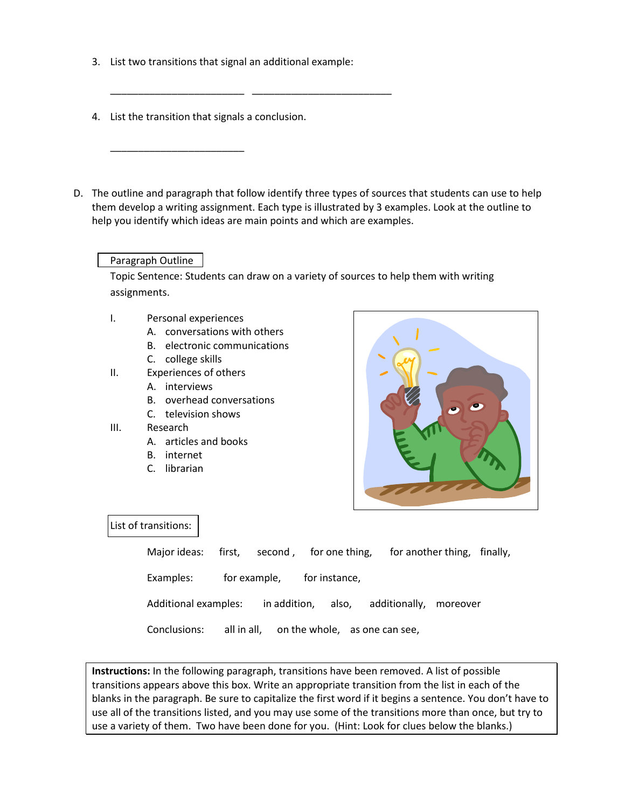3. List two transitions that signal an additional example:

\_\_\_\_\_\_\_\_\_\_\_\_\_\_\_\_\_\_\_\_\_\_\_\_ \_\_\_\_\_\_\_\_\_\_\_\_\_\_\_\_\_\_\_\_\_\_\_\_\_

4. List the transition that signals a conclusion.

\_\_\_\_\_\_\_\_\_\_\_\_\_\_\_\_\_\_\_\_\_\_\_\_

D. The outline and paragraph that follow identify three types of sources that students can use to help them develop a writing assignment. Each type is illustrated by 3 examples. Look at the outline to help you identify which ideas are main points and which are examples.

#### Paragraph Outline

Topic Sentence: Students can draw on a variety of sources to help them with writing assignments.

- I. Personal experiences
	- A. conversations with others
	- B. electronic communications
	- C. college skills
- II. Experiences of others
	- A. interviews
	- B. overhead conversations
	- C. television shows
- III. Research
	- A. articles and books
	- B. internet
	- C. librarian



#### List of transitions:

| Major ideas: first, second, for one thing, for another thing, finally, |                            |  |  |  |
|------------------------------------------------------------------------|----------------------------|--|--|--|
| Examples:                                                              | for example, for instance, |  |  |  |
| Additional examples: in addition, also, additionally, moreover         |                            |  |  |  |
| Conclusions: all in all, on the whole, as one can see,                 |                            |  |  |  |

**Instructions:** In the following paragraph, transitions have been removed. A list of possible transitions appears above this box. Write an appropriate transition from the list in each of the blanks in the paragraph. Be sure to capitalize the first word if it begins a sentence. You don't have to use all of the transitions listed, and you may use some of the transitions more than once, but try to use a variety of them. Two have been done for you. (Hint: Look for clues below the blanks.)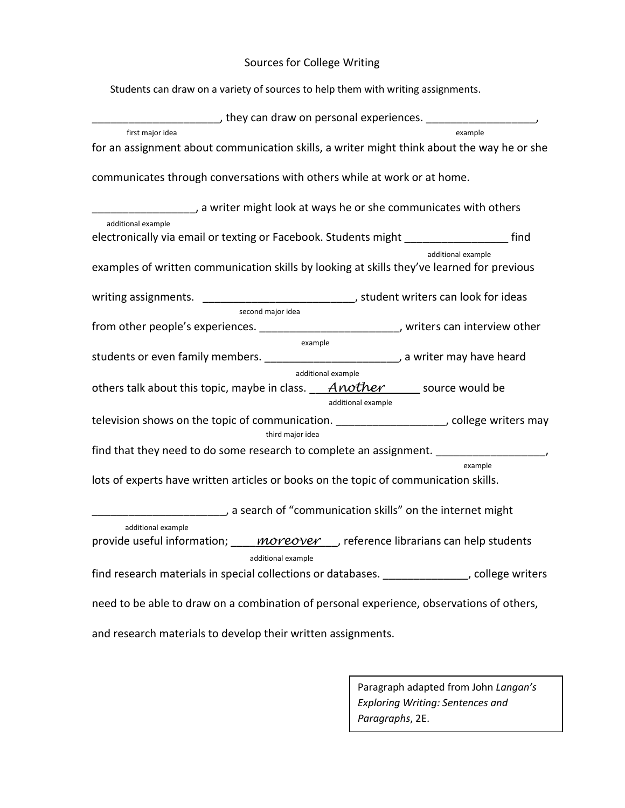# Sources for College Writing

Students can draw on a variety of sources to help them with writing assignments.

| ______, they can draw on personal experiences. ____________________                                                      |                    |  |  |  |  |  |
|--------------------------------------------------------------------------------------------------------------------------|--------------------|--|--|--|--|--|
| first major idea                                                                                                         | example            |  |  |  |  |  |
| for an assignment about communication skills, a writer might think about the way he or she                               |                    |  |  |  |  |  |
| communicates through conversations with others while at work or at home.                                                 |                    |  |  |  |  |  |
| a writer might look at ways he or she communicates with others <a></a>                                                   |                    |  |  |  |  |  |
| additional example<br>electronically via email or texting or Facebook. Students might ______________________ find        |                    |  |  |  |  |  |
| examples of written communication skills by looking at skills they've learned for previous                               | additional example |  |  |  |  |  |
| writing assignments. ________________________________, student writers can look for ideas<br>second major idea           |                    |  |  |  |  |  |
| from other people's experiences. __________________________, writers can interview other                                 |                    |  |  |  |  |  |
| example                                                                                                                  |                    |  |  |  |  |  |
| students or even family members. ___________________________, a writer may have heard                                    |                    |  |  |  |  |  |
| additional example                                                                                                       |                    |  |  |  |  |  |
| others talk about this topic, maybe in class. $A$ nother source would be<br>additional example                           |                    |  |  |  |  |  |
| television shows on the topic of communication. ____________________, college writers may<br>third major idea            |                    |  |  |  |  |  |
| find that they need to do some research to complete an assignment. ____________________                                  |                    |  |  |  |  |  |
|                                                                                                                          | example            |  |  |  |  |  |
| lots of experts have written articles or books on the topic of communication skills.                                     |                    |  |  |  |  |  |
| a search of "communication skills" on the internet might                                                                 |                    |  |  |  |  |  |
| additional example                                                                                                       |                    |  |  |  |  |  |
| provide useful information; <i>____ <b>moreover</b> __,</i> reference librarians can help students<br>additional example |                    |  |  |  |  |  |
| find research materials in special collections or databases. ______________, college writers                             |                    |  |  |  |  |  |
| need to be able to draw on a combination of personal experience, observations of others,                                 |                    |  |  |  |  |  |
| and research materials to develop their written assignments.                                                             |                    |  |  |  |  |  |

Paragraph adapted from John *Langan's Exploring Writing: Sentences and Paragraphs*, 2E.